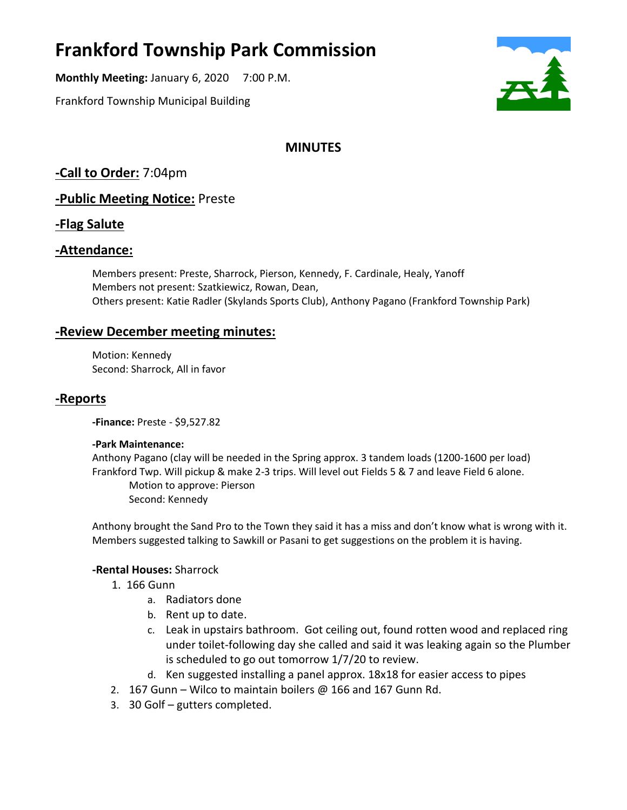# **Frankford Township Park Commission**

**Monthly Meeting:** January 6, 2020 7:00 P.M.

Frankford Township Municipal Building



# **MINUTES**

**-Call to Order:** 7:04pm

## **-Public Meeting Notice:** Preste

## **-Flag Salute**

## **-Attendance:**

Members present: Preste, Sharrock, Pierson, Kennedy, F. Cardinale, Healy, Yanoff Members not present: Szatkiewicz, Rowan, Dean, Others present: Katie Radler (Skylands Sports Club), Anthony Pagano (Frankford Township Park)

## **-Review December meeting minutes:**

Motion: Kennedy Second: Sharrock, All in favor

## **-Reports**

**-Finance:** Preste - \$9,527.82

#### **-Park Maintenance:**

Anthony Pagano (clay will be needed in the Spring approx. 3 tandem loads (1200-1600 per load) Frankford Twp. Will pickup & make 2-3 trips. Will level out Fields 5 & 7 and leave Field 6 alone. Motion to approve: Pierson

Second: Kennedy

Anthony brought the Sand Pro to the Town they said it has a miss and don't know what is wrong with it. Members suggested talking to Sawkill or Pasani to get suggestions on the problem it is having.

#### **-Rental Houses:** Sharrock

- 1. 166 Gunn
	- a. Radiators done
	- b. Rent up to date.
	- c. Leak in upstairs bathroom. Got ceiling out, found rotten wood and replaced ring under toilet-following day she called and said it was leaking again so the Plumber is scheduled to go out tomorrow 1/7/20 to review.
	- d. Ken suggested installing a panel approx. 18x18 for easier access to pipes
- 2. 167 Gunn Wilco to maintain boilers @ 166 and 167 Gunn Rd.
- 3. 30 Golf gutters completed.